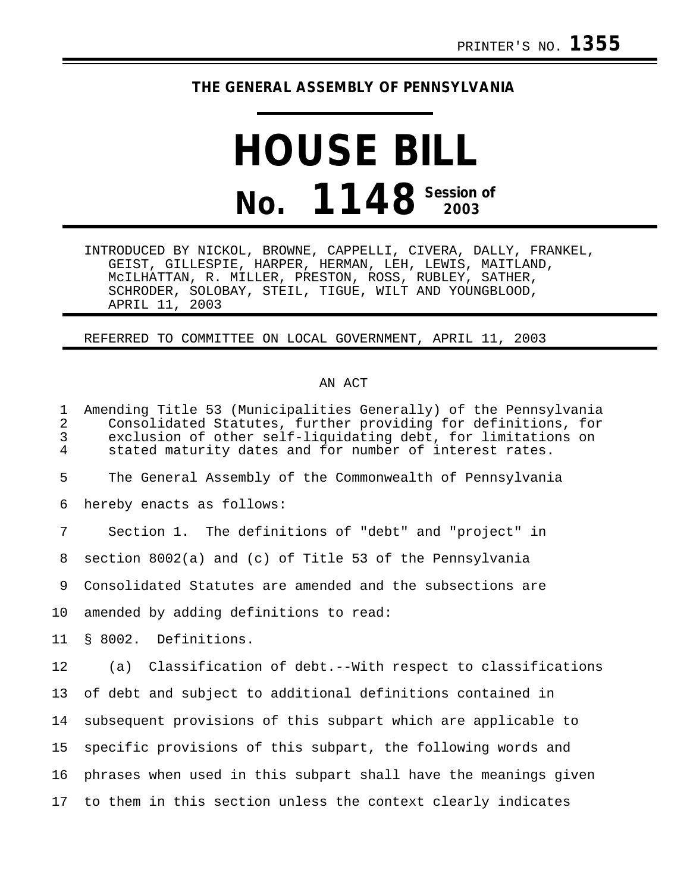## **THE GENERAL ASSEMBLY OF PENNSYLVANIA**

## **HOUSE BILL No. 1148 Session of 2003**

INTRODUCED BY NICKOL, BROWNE, CAPPELLI, CIVERA, DALLY, FRANKEL, GEIST, GILLESPIE, HARPER, HERMAN, LEH, LEWIS, MAITLAND, McILHATTAN, R. MILLER, PRESTON, ROSS, RUBLEY, SATHER, SCHRODER, SOLOBAY, STEIL, TIGUE, WILT AND YOUNGBLOOD, APRIL 11, 2003

## REFERRED TO COMMITTEE ON LOCAL GOVERNMENT, APRIL 11, 2003

## AN ACT

1 Amending Title 53 (Municipalities Generally) of the Pennsylvania 2 Consolidated Statutes, further providing for definitions, for 3 exclusion of other self-liquidating debt, for limitations on stated maturity dates and for number of interest rates. 5 The General Assembly of the Commonwealth of Pennsylvania 6 hereby enacts as follows: 7 Section 1. The definitions of "debt" and "project" in 8 section 8002(a) and (c) of Title 53 of the Pennsylvania 9 Consolidated Statutes are amended and the subsections are 10 amended by adding definitions to read: 11 § 8002. Definitions. 12 (a) Classification of debt.--With respect to classifications 13 of debt and subject to additional definitions contained in 14 subsequent provisions of this subpart which are applicable to 15 specific provisions of this subpart, the following words and 16 phrases when used in this subpart shall have the meanings given 17 to them in this section unless the context clearly indicates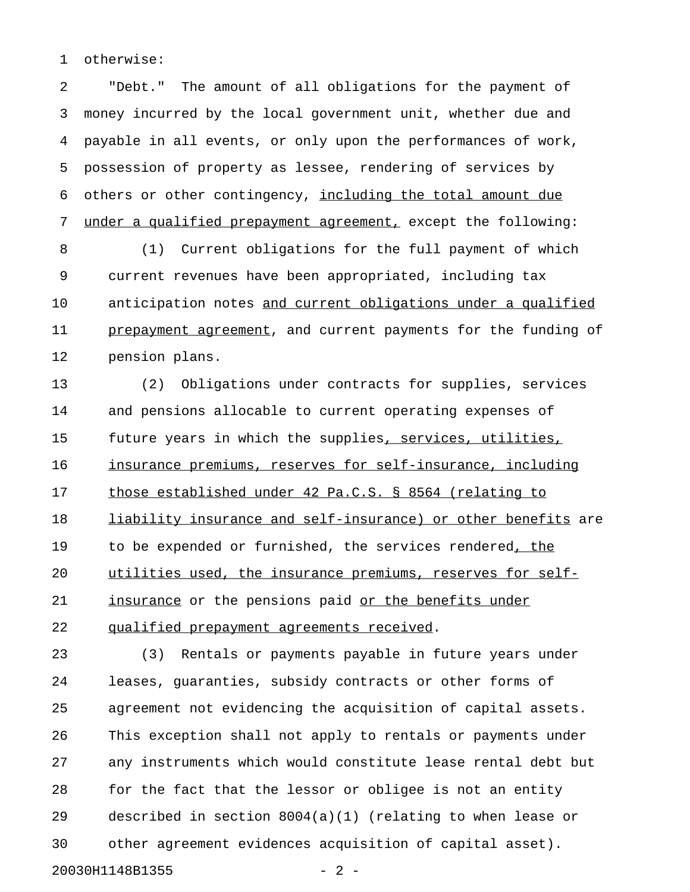1 otherwise:

2 "Debt." The amount of all obligations for the payment of 3 money incurred by the local government unit, whether due and 4 payable in all events, or only upon the performances of work, 5 possession of property as lessee, rendering of services by 6 others or other contingency, including the total amount due 7 under a qualified prepayment agreement, except the following:

8 (1) Current obligations for the full payment of which 9 current revenues have been appropriated, including tax 10 anticipation notes and current obligations under a qualified 11 prepayment agreement, and current payments for the funding of 12 pension plans.

13 (2) Obligations under contracts for supplies, services 14 and pensions allocable to current operating expenses of 15 future years in which the supplies, services, utilities, 16 insurance premiums, reserves for self-insurance, including 17 those established under 42 Pa.C.S. § 8564 (relating to 18 liability insurance and self-insurance) or other benefits are 19 to be expended or furnished, the services rendered, the \_\_\_\_\_ 20 utilities used, the insurance premiums, reserves for self-21 insurance or the pensions paid or the benefits under 22 qualified prepayment agreements received.

23 (3) Rentals or payments payable in future years under 24 leases, guaranties, subsidy contracts or other forms of 25 agreement not evidencing the acquisition of capital assets. 26 This exception shall not apply to rentals or payments under 27 any instruments which would constitute lease rental debt but 28 for the fact that the lessor or obligee is not an entity 29 described in section 8004(a)(1) (relating to when lease or 30 other agreement evidences acquisition of capital asset). 20030H1148B1355 - 2 -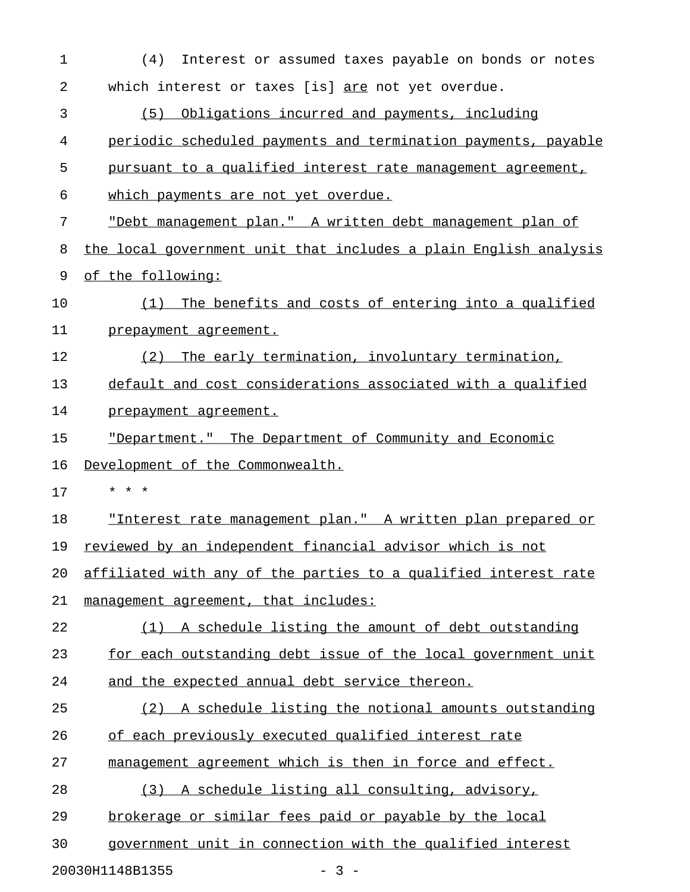| $\mathbf 1$                                                                | Interest or assumed taxes payable on bonds or notes<br>(4)       |
|----------------------------------------------------------------------------|------------------------------------------------------------------|
| 2                                                                          | which interest or taxes [is] are not yet overdue.                |
| 3                                                                          | Obligations incurred and payments, including<br>(5)              |
| 4                                                                          | periodic scheduled payments and termination payments, payable    |
| 5                                                                          | pursuant to a qualified interest rate management agreement,      |
| 6                                                                          | which payments are not yet overdue.                              |
| 7                                                                          | "Debt management plan." A written debt management plan of        |
| 8                                                                          | the local government unit that includes a plain English analysis |
| 9                                                                          | of the following:                                                |
| 10                                                                         | The benefits and costs of entering into a qualified<br>(1)       |
| 11                                                                         | prepayment agreement.                                            |
| 12                                                                         | The early termination, involuntary termination,<br>(2)           |
| 13                                                                         | default and cost considerations associated with a qualified      |
| 14                                                                         | prepayment agreement.                                            |
|                                                                            | "Department." The Department of Community and Economic           |
|                                                                            |                                                                  |
|                                                                            | Development of the Commonwealth.                                 |
|                                                                            | * * *                                                            |
|                                                                            | "Interest rate management plan." A written plan prepared or      |
|                                                                            | reviewed by an independent financial advisor which is not        |
|                                                                            | affiliated with any of the parties to a qualified interest rate  |
| 21                                                                         | management agreement, that includes:                             |
|                                                                            | (1) A schedule listing the amount of debt outstanding            |
|                                                                            | for each outstanding debt issue of the local government unit     |
|                                                                            | and the expected annual debt service thereon.                    |
|                                                                            | (2) A schedule listing the notional amounts outstanding          |
|                                                                            | of each previously executed qualified interest rate              |
|                                                                            | management agreement which is then in force and effect.          |
| 15<br>16<br>17<br>18<br>19<br>20<br>22<br>23<br>24<br>25<br>26<br>27<br>28 | (3) A schedule listing all consulting, advisory,                 |
| 29                                                                         | brokerage or similar fees paid or payable by the local           |

20030H1148B1355 - 3 -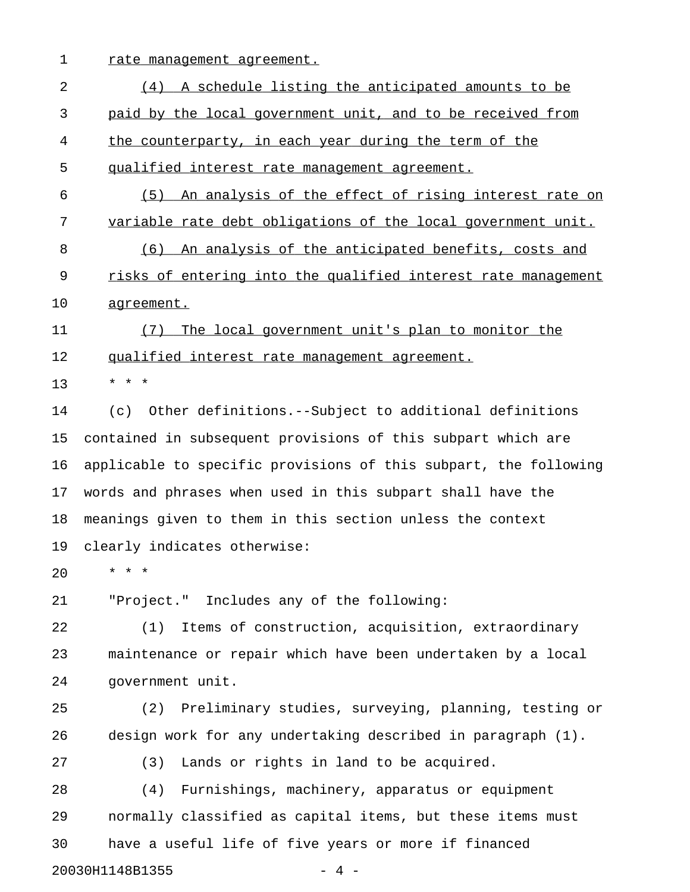1 rate management agreement.

2 (4) A schedule listing the anticipated amounts to be 3 paid by the local government unit, and to be received from 4 the counterparty, in each year during the term of the 5 qualified interest rate management agreement. 6 (5) An analysis of the effect of rising interest rate on 7 variable rate debt obligations of the local government unit. 8 (6) An analysis of the anticipated benefits, costs and 9 risks of entering into the qualified interest rate management 10 agreement. 11 (7) The local government unit's plan to monitor the 12 qualified interest rate management agreement. 13 \* \* \* 14 (c) Other definitions.--Subject to additional definitions 15 contained in subsequent provisions of this subpart which are 16 applicable to specific provisions of this subpart, the following 17 words and phrases when used in this subpart shall have the 18 meanings given to them in this section unless the context 19 clearly indicates otherwise: 20 \* \* \* 21 "Project." Includes any of the following: 22 (1) Items of construction, acquisition, extraordinary 23 maintenance or repair which have been undertaken by a local 24 government unit. 25 (2) Preliminary studies, surveying, planning, testing or 26 design work for any undertaking described in paragraph (1). 27 (3) Lands or rights in land to be acquired. 28 (4) Furnishings, machinery, apparatus or equipment 29 normally classified as capital items, but these items must 30 have a useful life of five years or more if financed

20030H1148B1355 - 4 -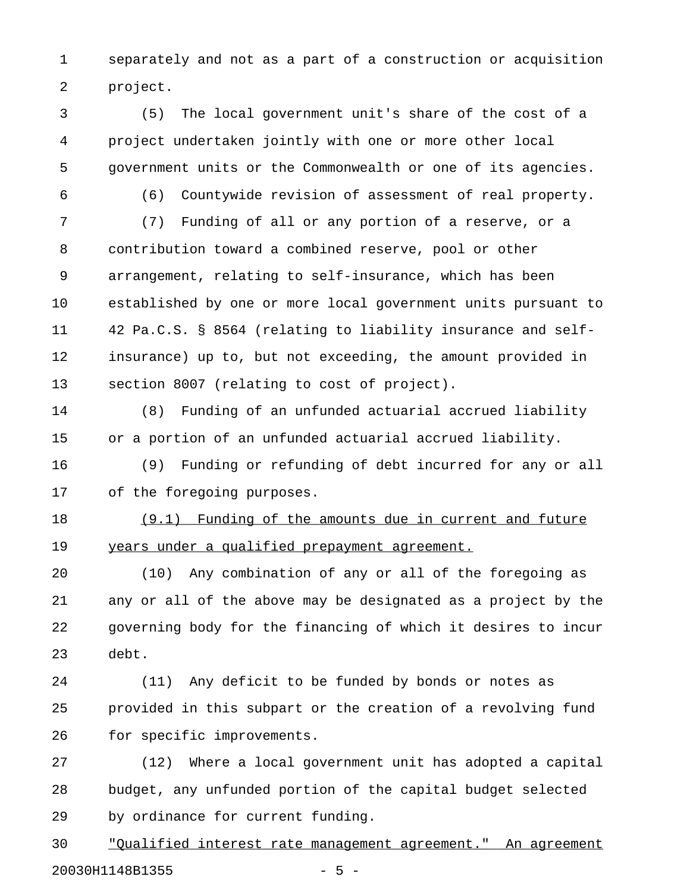1 separately and not as a part of a construction or acquisition 2 project.

3 (5) The local government unit's share of the cost of a 4 project undertaken jointly with one or more other local 5 government units or the Commonwealth or one of its agencies.

6 (6) Countywide revision of assessment of real property.

7 (7) Funding of all or any portion of a reserve, or a 8 contribution toward a combined reserve, pool or other 9 arrangement, relating to self-insurance, which has been 10 established by one or more local government units pursuant to 11 42 Pa.C.S. § 8564 (relating to liability insurance and self-12 insurance) up to, but not exceeding, the amount provided in 13 section 8007 (relating to cost of project).

14 (8) Funding of an unfunded actuarial accrued liability 15 or a portion of an unfunded actuarial accrued liability.

16 (9) Funding or refunding of debt incurred for any or all 17 of the foregoing purposes.

18 (9.1) Funding of the amounts due in current and future 19 years under a qualified prepayment agreement.

20 (10) Any combination of any or all of the foregoing as 21 any or all of the above may be designated as a project by the 22 governing body for the financing of which it desires to incur 23 debt.

24 (11) Any deficit to be funded by bonds or notes as 25 provided in this subpart or the creation of a revolving fund 26 for specific improvements.

27 (12) Where a local government unit has adopted a capital 28 budget, any unfunded portion of the capital budget selected 29 by ordinance for current funding.

30 "Oualified interest rate management agreement." An agreement 20030H1148B1355 - 5 -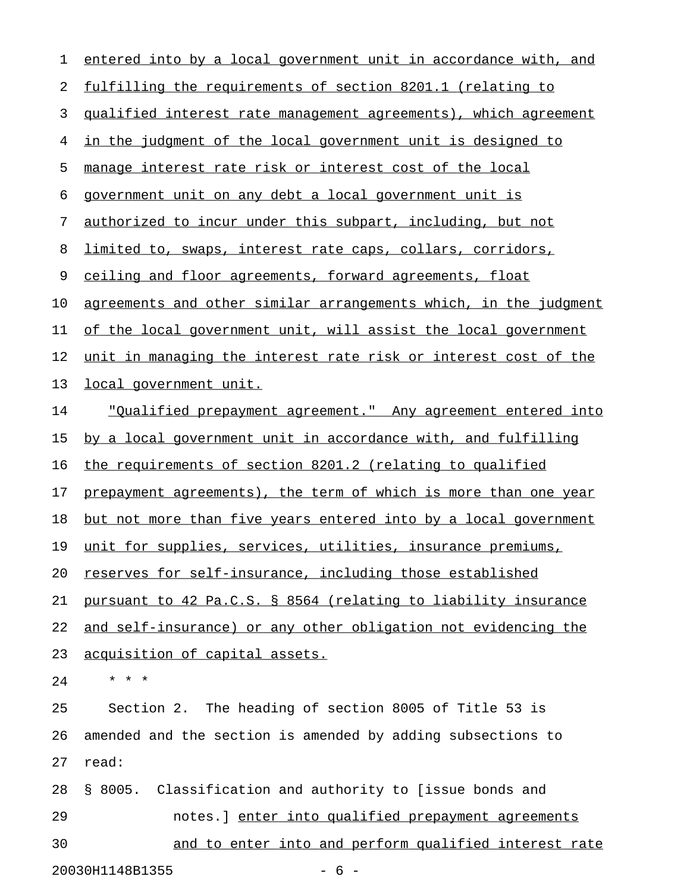| 1  | entered into by a local government unit in accordance with, and     |
|----|---------------------------------------------------------------------|
| 2  | fulfilling the requirements of section 8201.1 (relating to          |
| 3  | qualified interest rate management agreements), which agreement     |
| 4  | in the judgment of the local government unit is designed to         |
| 5  | manage interest rate risk or interest cost of the local             |
| 6  | government unit on any debt a local government unit is              |
| 7  | authorized to incur under this subpart, including, but not          |
| 8  | limited to, swaps, interest rate caps, collars, corridors,          |
| 9  | ceiling and floor agreements, forward agreements, float             |
| 10 | agreements and other similar arrangements which, in the judgment    |
| 11 | of the local government unit, will assist the local government      |
| 12 | unit in managing the interest rate risk or interest cost of the     |
| 13 | local government unit.                                              |
| 14 | <u>"Oualified prepayment agreement." Any agreement entered into</u> |
| 15 | by a local government unit in accordance with, and fulfilling       |
| 16 | the requirements of section 8201.2 (relating to qualified           |
| 17 | prepayment agreements), the term of which is more than one year     |
| 18 | but not more than five years entered into by a local government     |
| 19 | unit for supplies, services, utilities, insurance premiums,         |
| 20 | reserves for self-insurance, including those established            |
| 21 | pursuant to 42 Pa.C.S. § 8564 (relating to liability insurance      |
| 22 | and self-insurance) or any other obligation not evidencing the      |
| 23 | acquisition of capital assets.                                      |
| 24 | $* * *$                                                             |
| 25 | Section 2. The heading of section 8005 of Title 53 is               |
| 26 | amended and the section is amended by adding subsections to         |
| 27 | read:                                                               |
| 28 | § 8005. Classification and authority to [issue bonds and            |
| 29 | notes. ] enter into qualified prepayment agreements                 |
| 30 | and to enter into and perform qualified interest rate               |
|    | 20030H1148B1355<br>$-6-$                                            |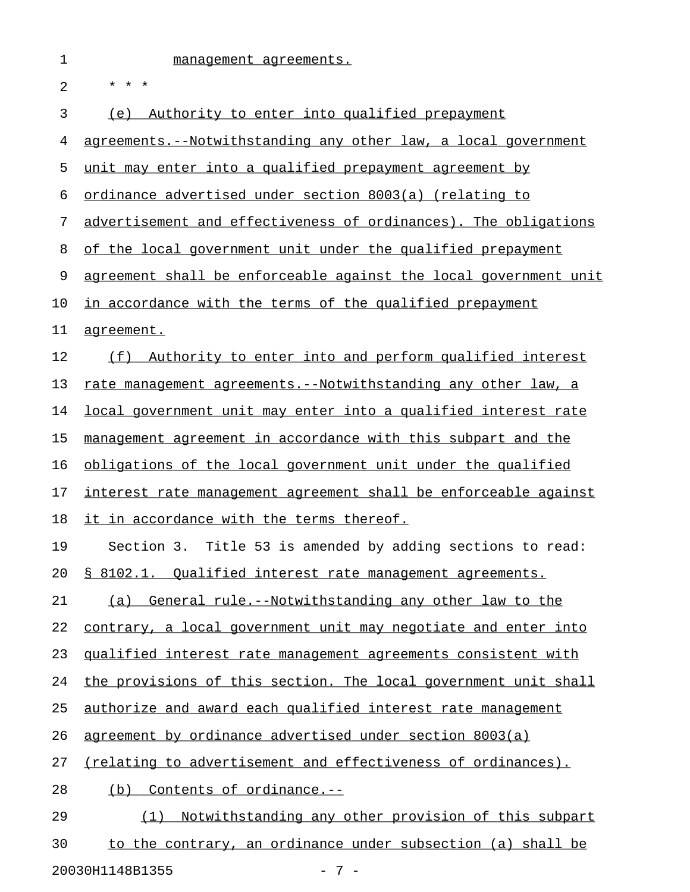| 1  | management agreements.                                                |
|----|-----------------------------------------------------------------------|
| 2  | * * *                                                                 |
| 3  | Authority to enter into qualified prepayment<br>(e)                   |
| 4  | agreements.--Notwithstanding any other law, a local government        |
| 5  | unit may enter into a qualified prepayment agreement by               |
| 6  | ordinance advertised under section 8003(a) (relating to               |
| 7  | advertisement and effectiveness of ordinances). The obligations       |
| 8  | of the local government unit under the qualified prepayment           |
| 9  | agreement shall be enforceable against the local government unit      |
| 10 | in accordance with the terms of the qualified prepayment              |
| 11 | agreement.                                                            |
| 12 | (f) Authority to enter into and perform qualified interest            |
| 13 | rate management agreements.--Notwithstanding any other law, a         |
| 14 | <u>local government unit may enter into a qualified interest rate</u> |
| 15 | management agreement in accordance with this subpart and the          |
| 16 | obligations of the local government unit under the qualified          |
| 17 | interest rate management agreement shall be enforceable against       |
| 18 | it in accordance with the terms thereof.                              |
| 19 | Section 3. Title 53 is amended by adding sections to read:            |
| 20 | § 8102.1. Qualified interest rate management agreements.              |
| 21 | General rule.--Notwithstanding any other law to the<br>(a)            |
| 22 | contrary, a local government unit may negotiate and enter into        |
| 23 | qualified interest rate management agreements consistent with         |
| 24 | the provisions of this section. The local government unit shall       |
|    |                                                                       |

25 authorize and award each qualified interest rate management

26 agreement by ordinance advertised under section 8003(a)

27 (relating to advertisement and effectiveness of ordinances).

28 (b) Contents of ordinance.--

29 (1) Notwithstanding any other provision of this subpart 30 to the contrary, an ordinance under subsection (a) shall be 20030H1148B1355 - 7 -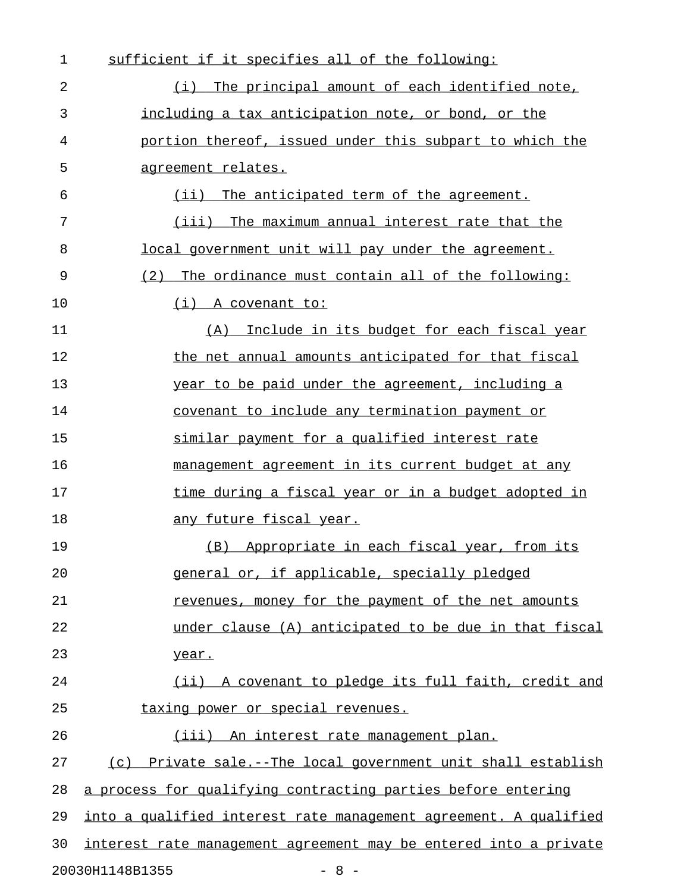| 1  | sufficient if it specifies all of the following:                 |
|----|------------------------------------------------------------------|
| 2  | (i) The principal amount of each identified note,                |
| 3  | including a tax anticipation note, or bond, or the               |
| 4  | portion thereof, issued under this subpart to which the          |
| 5  | <u>agreement relates.</u>                                        |
| 6  | (ii) The anticipated term of the agreement.                      |
| 7  | (iii) The maximum annual interest rate that the                  |
| 8  | local government unit will pay under the agreement.              |
| 9  | The ordinance must contain all of the following:<br>(2)          |
| 10 | $(i)$ A covenant to:                                             |
| 11 | (A) Include in its budget for each fiscal year                   |
| 12 | the net annual amounts anticipated for that fiscal               |
| 13 | year to be paid under the agreement, including a                 |
| 14 | covenant to include any termination payment or                   |
| 15 | similar payment for a qualified interest rate                    |
| 16 | management agreement in its current budget at any                |
| 17 | time during a fiscal year or in a budget adopted in              |
| 18 | <u>any future fiscal year.</u>                                   |
| 19 | (B) Appropriate in each fiscal year, from its                    |
| 20 | general or, if applicable, specially pledged                     |
| 21 | revenues, money for the payment of the net amounts               |
| 22 | under clause (A) anticipated to be due in that fiscal            |
| 23 | year.                                                            |
| 24 | (ii) A covenant to pledge its full faith, credit and             |
| 25 | taxing power or special revenues.                                |
| 26 | (iii) An interest rate management plan.                          |
| 27 | (c) Private sale.--The local government unit shall establish     |
| 28 | a process for qualifying contracting parties before entering     |
| 29 | into a qualified interest rate management agreement. A qualified |
| 30 | interest rate management agreement may be entered into a private |
|    | 20030H1148B1355<br>$-8 -$                                        |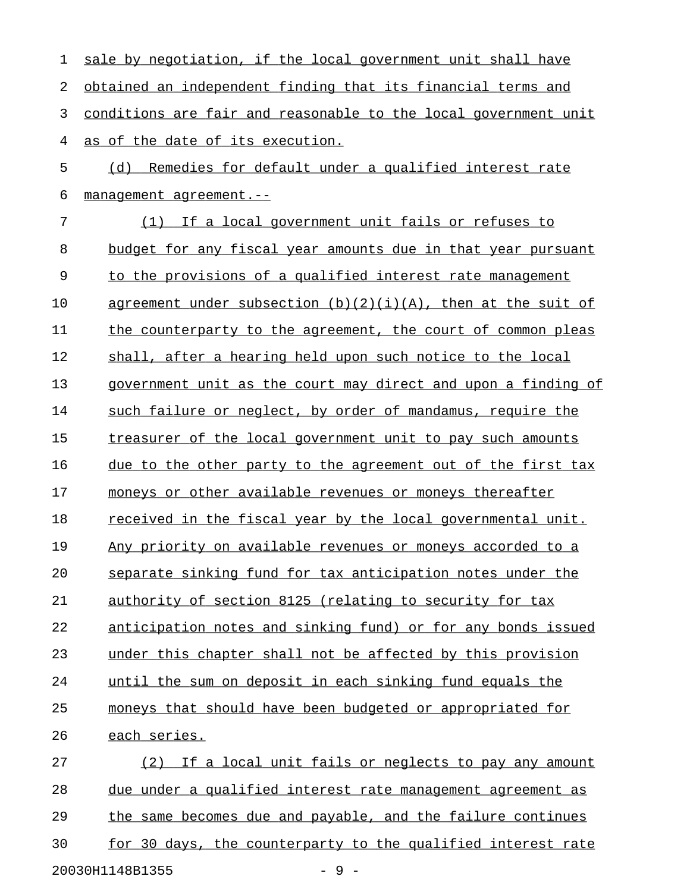| 1  | sale by negotiation, if the local government unit shall have    |
|----|-----------------------------------------------------------------|
| 2  | obtained an independent finding that its financial terms and    |
| 3  | conditions are fair and reasonable to the local government unit |
| 4  | as of the date of its execution.                                |
| 5  | (d) Remedies for default under a qualified interest rate        |
| 6  | management agreement.--                                         |
| 7  | (1) If a local government unit fails or refuses to              |
| 8  | budget for any fiscal year amounts due in that year pursuant    |
| 9  | to the provisions of a qualified interest rate management       |
| 10 | agreement under subsection $(b)(2)(i)(A)$ , then at the suit of |
| 11 | the counterparty to the agreement, the court of common pleas    |
| 12 | shall, after a hearing held upon such notice to the local       |
| 13 | government unit as the court may direct and upon a finding of   |
| 14 | such failure or neglect, by order of mandamus, require the      |
| 15 | treasurer of the local government unit to pay such amounts      |
| 16 | due to the other party to the agreement out of the first tax    |
| 17 | moneys or other available revenues or moneys thereafter         |
| 18 | received in the fiscal year by the local governmental unit.     |
| 19 | Any priority on available revenues or moneys accorded to a      |
| 20 | separate sinking fund for tax anticipation notes under the      |
| 21 | authority of section 8125 (relating to security for tax         |
| 22 | anticipation notes and sinking fund) or for any bonds issued    |
| 23 | under this chapter shall not be affected by this provision      |
| 24 | until the sum on deposit in each sinking fund equals the        |
| 25 | moneys that should have been budgeted or appropriated for       |
| 26 | each series.                                                    |
| 27 | (2) If a local unit fails or neglects to pay any amount         |
| 28 | due under a qualified interest rate management agreement as     |
| 29 | the same becomes due and payable, and the failure continues     |
| 30 | for 30 days, the counterparty to the qualified interest rate    |
|    | $-9-$<br>20030H1148B1355                                        |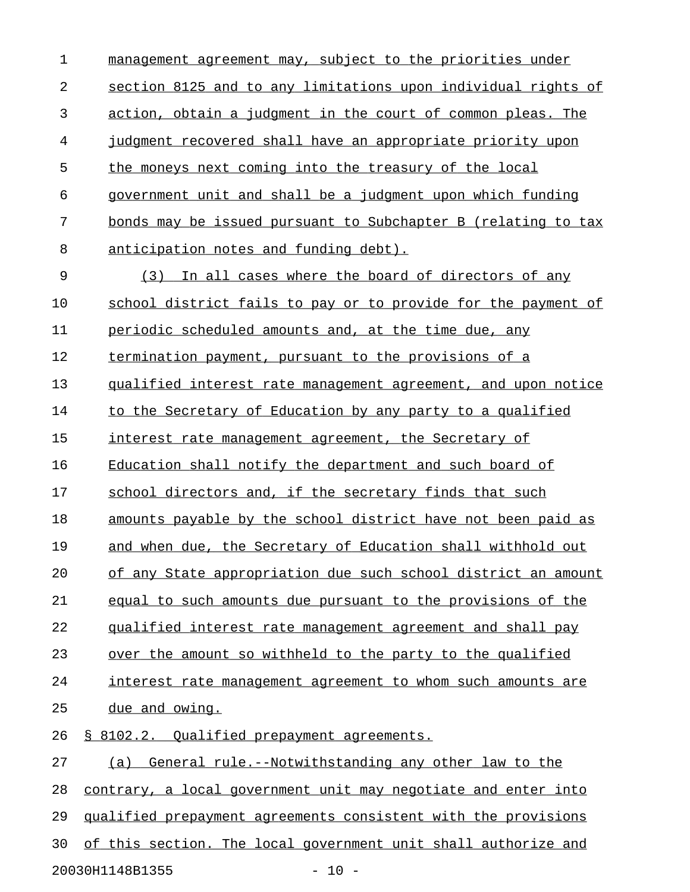1 management agreement may, subject to the priorities under 2 section 8125 and to any limitations upon individual rights of 3 action, obtain a judgment in the court of common pleas. The 4 judgment recovered shall have an appropriate priority upon 5 the moneys next coming into the treasury of the local  $6$  government unit and shall be a judgment upon which funding 7 bonds may be issued pursuant to Subchapter B (relating to tax 8 anticipation notes and funding debt). 9 (3) In all cases where the board of directors of any 10 school district fails to pay or to provide for the payment of 11 periodic scheduled amounts and, at the time due, any 12 termination payment, pursuant to the provisions of a 13 qualified interest rate management agreement, and upon notice 14 to the Secretary of Education by any party to a qualified 15 interest rate management agreement, the Secretary of 16 Education shall notify the department and such board of 17 school directors and, if the secretary finds that such 18 amounts payable by the school district have not been paid as 19 and when due, the Secretary of Education shall withhold out 20 of any State appropriation due such school district an amount 21 equal to such amounts due pursuant to the provisions of the 22 qualified interest rate management agreement and shall pay 23 over the amount so withheld to the party to the qualified 24 interest rate management agreement to whom such amounts are 25 due and owing. 26 § 8102.2. Qualified prepayment agreements. 27 (a) General rule.--Notwithstanding any other law to the 28 contrary, a local government unit may negotiate and enter into 29 qualified prepayment agreements consistent with the provisions 30 of this section. The local government unit shall authorize and

20030H1148B1355 - 10 -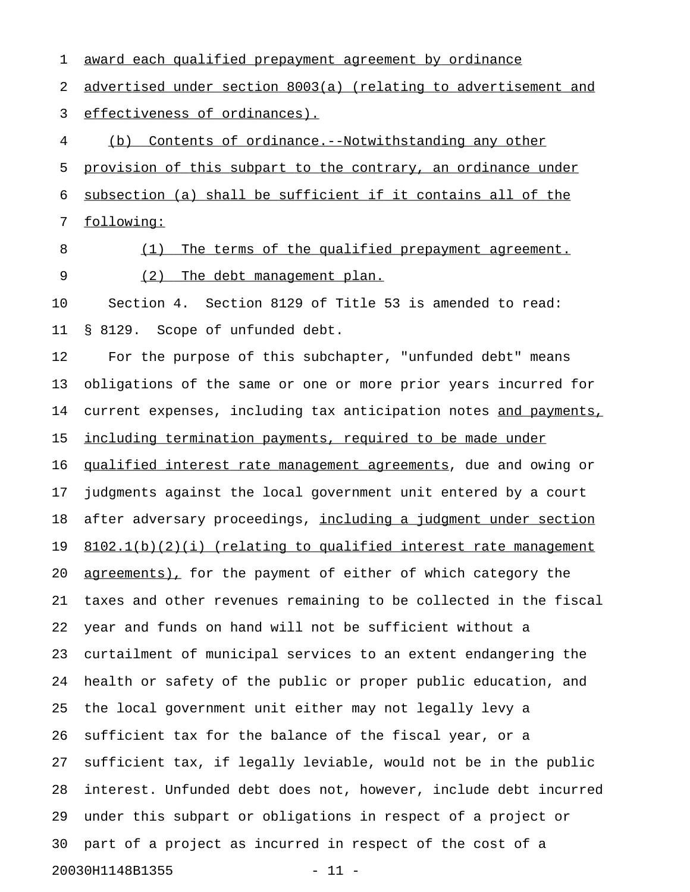2 advertised under section 8003(a) (relating to advertisement and 3 effectiveness of ordinances). 4 (b) Contents of ordinance.--Notwithstanding any other 5 provision of this subpart to the contrary, an ordinance under 6 subsection (a) shall be sufficient if it contains all of the 7 following: 8 (1) The terms of the qualified prepayment agreement. 9 (2) The debt management plan. 10 Section 4. Section 8129 of Title 53 is amended to read: 11 § 8129. Scope of unfunded debt. 12 For the purpose of this subchapter, "unfunded debt" means 13 obligations of the same or one or more prior years incurred for 14 current expenses, including tax anticipation notes and payments, 15 <u>including termination payments, required to be made under</u> 16 qualified interest rate management agreements, due and owing or 17 judgments against the local government unit entered by a court 18 after adversary proceedings, including a judgment under section 19 8102.1(b)(2)(i) (relating to qualified interest rate management 20 <u>agreements)</u>, for the payment of either of which category the 21 taxes and other revenues remaining to be collected in the fiscal 22 year and funds on hand will not be sufficient without a 23 curtailment of municipal services to an extent endangering the 24 health or safety of the public or proper public education, and 25 the local government unit either may not legally levy a 26 sufficient tax for the balance of the fiscal year, or a 27 sufficient tax, if legally leviable, would not be in the public 28 interest. Unfunded debt does not, however, include debt incurred 29 under this subpart or obligations in respect of a project or 30 part of a project as incurred in respect of the cost of a 20030H1148B1355 - 11 -

1 award each qualified prepayment agreement by ordinance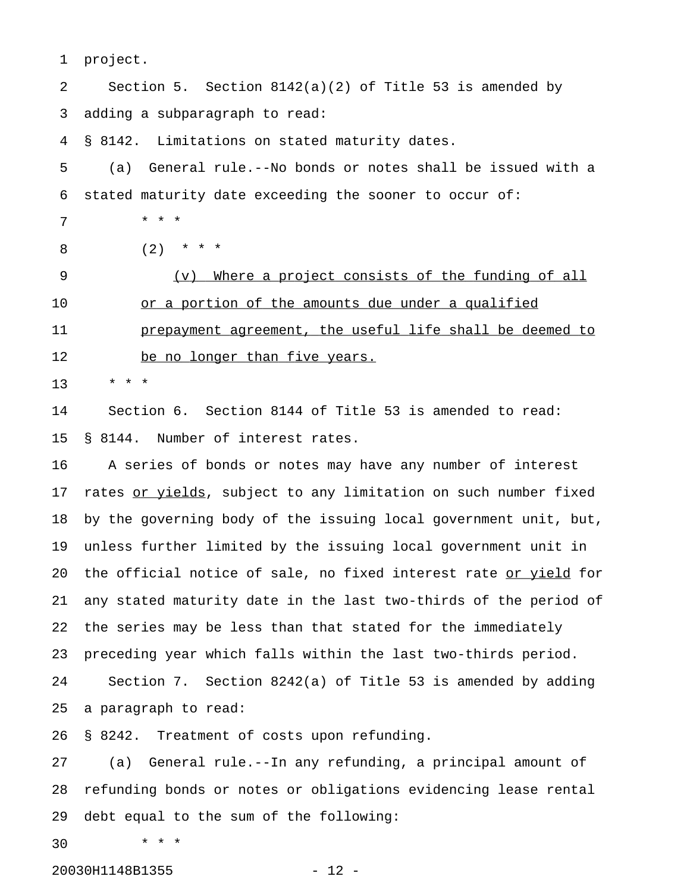1 project. 2 Section 5. Section 8142(a)(2) of Title 53 is amended by 3 adding a subparagraph to read: 4 § 8142. Limitations on stated maturity dates. 5 (a) General rule.--No bonds or notes shall be issued with a 6 stated maturity date exceeding the sooner to occur of: 7 \* \* \* 8 (2) \* \* \* 9 (v) Where a project consists of the funding of all 10 or a portion of the amounts due under a qualified 11 prepayment agreement, the useful life shall be deemed to 12 be no longer than five years. 13 \* \* \* 14 Section 6. Section 8144 of Title 53 is amended to read: 15 § 8144. Number of interest rates. 16 A series of bonds or notes may have any number of interest 17 rates or yields, subject to any limitation on such number fixed 18 by the governing body of the issuing local government unit, but, 19 unless further limited by the issuing local government unit in 20 the official notice of sale, no fixed interest rate or yield for 21 any stated maturity date in the last two-thirds of the period of 22 the series may be less than that stated for the immediately 23 preceding year which falls within the last two-thirds period. 24 Section 7. Section 8242(a) of Title 53 is amended by adding 25 a paragraph to read: 26 § 8242. Treatment of costs upon refunding. 27 (a) General rule.--In any refunding, a principal amount of 28 refunding bonds or notes or obligations evidencing lease rental 29 debt equal to the sum of the following: 30 \* \* \*

20030H1148B1355 - 12 -